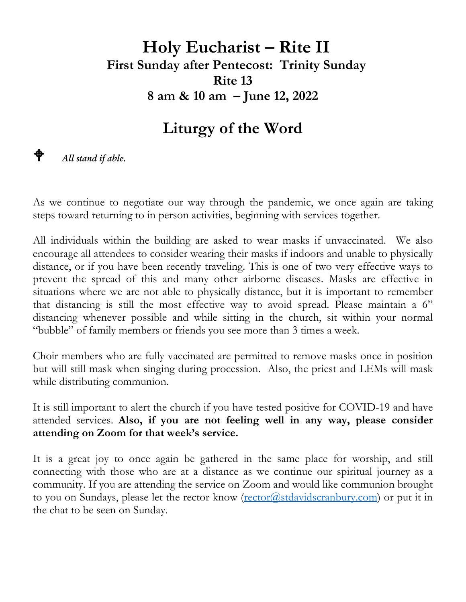# **Holy Eucharist – Rite II First Sunday after Pentecost: Trinity Sunday Rite 13 8 am & 10 am – June 12, 2022**

# **Liturgy of the Word**

 $\oint$  *All stand if able.* 

As we continue to negotiate our way through the pandemic, we once again are taking steps toward returning to in person activities, beginning with services together.

All individuals within the building are asked to wear masks if unvaccinated. We also encourage all attendees to consider wearing their masks if indoors and unable to physically distance, or if you have been recently traveling. This is one of two very effective ways to prevent the spread of this and many other airborne diseases. Masks are effective in situations where we are not able to physically distance, but it is important to remember that distancing is still the most effective way to avoid spread. Please maintain a 6" distancing whenever possible and while sitting in the church, sit within your normal "bubble" of family members or friends you see more than 3 times a week.

Choir members who are fully vaccinated are permitted to remove masks once in position but will still mask when singing during procession. Also, the priest and LEMs will mask while distributing communion.

It is still important to alert the church if you have tested positive for COVID-19 and have attended services. **Also, if you are not feeling well in any way, please consider attending on Zoom for that week's service.** 

It is a great joy to once again be gathered in the same place for worship, and still connecting with those who are at a distance as we continue our spiritual journey as a community. If you are attending the service on Zoom and would like communion brought to you on Sundays, please let the rector know  $(\text{rector}(Q)\text{stdavidscran}bury.com)$  or put it in the chat to be seen on Sunday.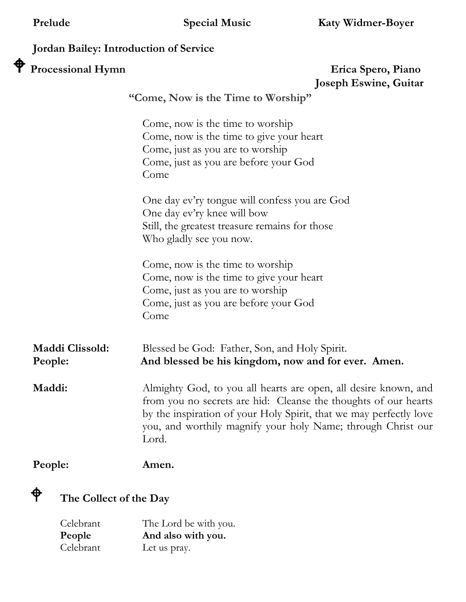**Preduce Special Music Katy Widmer-Boyer** 

# **Jordan Bailey: Introduction of Service**

| <b>Processional Hymn</b>   | Erica Spero, Piano<br><b>Joseph Eswine, Guitar</b>                                                                                                                                                                                                                                |
|----------------------------|-----------------------------------------------------------------------------------------------------------------------------------------------------------------------------------------------------------------------------------------------------------------------------------|
|                            | "Come, Now is the Time to Worship"                                                                                                                                                                                                                                                |
|                            | Come, now is the time to worship<br>Come, now is the time to give your heart<br>Come, just as you are to worship<br>Come, just as you are before your God<br>Come                                                                                                                 |
|                            | One day ev'ry tongue will confess you are God<br>One day ev'ry knee will bow<br>Still, the greatest treasure remains for those<br>Who gladly see you now.                                                                                                                         |
|                            | Come, now is the time to worship<br>Come, now is the time to give your heart<br>Come, just as you are to worship<br>Come, just as you are before your God<br>Come                                                                                                                 |
| Maddi Clissold:<br>People: | Blessed be God: Father, Son, and Holy Spirit.<br>And blessed be his kingdom, now and for ever. Amen.                                                                                                                                                                              |
| Maddi:                     | Almighty God, to you all hearts are open, all desire known, and<br>from you no secrets are hid: Cleanse the thoughts of our hearts<br>by the inspiration of your Holy Spirit, that we may perfectly love<br>you, and worthily magnify your holy Name; through Christ our<br>Lord. |
| People:                    | Amen.                                                                                                                                                                                                                                                                             |

# **The Collect of the Day**

| Celebrant | The Lord be with you. |
|-----------|-----------------------|
| People    | And also with you.    |
| Celebrant | Let us pray.          |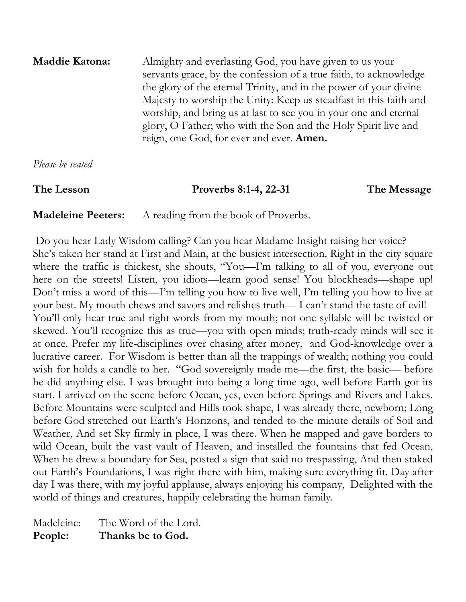| <b>Maddie Katona:</b> | Almighty and everlasting God, you have given to us your           |
|-----------------------|-------------------------------------------------------------------|
|                       | servants grace, by the confession of a true faith, to acknowledge |
|                       | the glory of the eternal Trinity, and in the power of your divine |
|                       | Majesty to worship the Unity: Keep us steadfast in this faith and |
|                       | worship, and bring us at last to see you in your one and eternal  |
|                       | glory, O Father; who with the Son and the Holy Spirit live and    |
|                       | reign, one God, for ever and ever. Amen.                          |
|                       |                                                                   |

*Please be seated* 

| The Message |
|-------------|
|             |

**Madeleine Peeters:** A reading from the book of Proverbs.

 Do you hear Lady Wisdom calling? Can you hear Madame Insight raising her voice? She's taken her stand at First and Main, at the busiest intersection. Right in the city square where the traffic is thickest, she shouts, "You—I'm talking to all of you, everyone out here on the streets! Listen, you idiots—learn good sense! You blockheads—shape up! Don't miss a word of this—I'm telling you how to live well, I'm telling you how to live at your best. My mouth chews and savors and relishes truth— I can't stand the taste of evil! You'll only hear true and right words from my mouth; not one syllable will be twisted or skewed. You'll recognize this as true—you with open minds; truth-ready minds will see it at once. Prefer my life-disciplines over chasing after money, and God-knowledge over a lucrative career. For Wisdom is better than all the trappings of wealth; nothing you could wish for holds a candle to her. "God sovereignly made me—the first, the basic— before he did anything else. I was brought into being a long time ago, well before Earth got its start. I arrived on the scene before Ocean, yes, even before Springs and Rivers and Lakes. Before Mountains were sculpted and Hills took shape, I was already there, newborn; Long before God stretched out Earth's Horizons, and tended to the minute details of Soil and Weather, And set Sky firmly in place, I was there. When he mapped and gave borders to wild Ocean, built the vast vault of Heaven, and installed the fountains that fed Ocean, When he drew a boundary for Sea, posted a sign that said no trespassing, And then staked out Earth's Foundations, I was right there with him, making sure everything fit. Day after day I was there, with my joyful applause, always enjoying his company, Delighted with the world of things and creatures, happily celebrating the human family.

Madeleine: The Word of the Lord. **People: Thanks be to God.**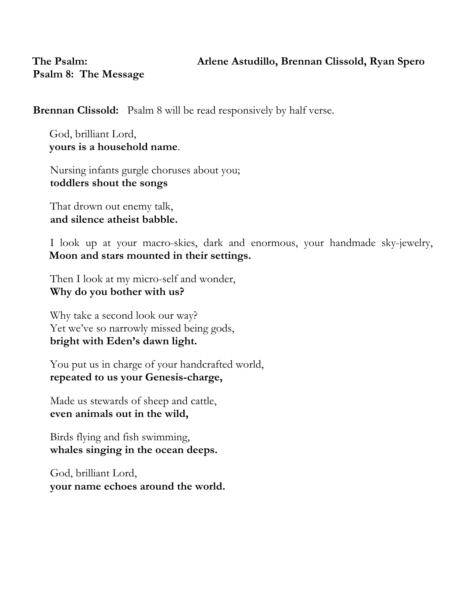**Psalm 8: The Message** 

**Brennan Clissold:** Psalm 8 will be read responsively by half verse.

 God, brilliant Lord, **yours is a household name**.

 Nursing infants gurgle choruses about you; **toddlers shout the songs** 

That drown out enemy talk, **and silence atheist babble.** 

I look up at your macro-skies, dark and enormous, your handmade sky-jewelry, **M Moon and stars mounted in their settings.** 

Then I look at my micro-self and wonder, **Why do you bother with us?** 

Why take a second look our way? Yet we've so narrowly missed being gods, **bright with Eden's dawn light.** 

You put us in charge of your handcrafted world, **repeated to us your Genesis-charge,** 

Made us stewards of sheep and cattle, **even animals out in the wild,** 

Birds flying and fish swimming, **whales singing in the ocean deeps.** 

God, brilliant Lord, **your name echoes around the world.**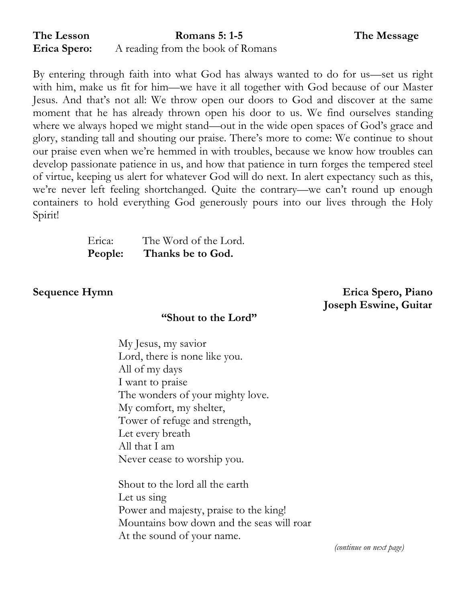| The Lesson          | <b>Romans</b> 5: 1-5              | The Message |
|---------------------|-----------------------------------|-------------|
| <b>Erica Spero:</b> | A reading from the book of Romans |             |

By entering through faith into what God has always wanted to do for us—set us right with him, make us fit for him—we have it all together with God because of our Master Jesus. And that's not all: We throw open our doors to God and discover at the same moment that he has already thrown open his door to us. We find ourselves standing where we always hoped we might stand—out in the wide open spaces of God's grace and glory, standing tall and shouting our praise. There's more to come: We continue to shout our praise even when we're hemmed in with troubles, because we know how troubles can develop passionate patience in us, and how that patience in turn forges the tempered steel of virtue, keeping us alert for whatever God will do next. In alert expectancy such as this, we're never left feeling shortchanged. Quite the contrary—we can't round up enough containers to hold everything God generously pours into our lives through the Holy Spirit!

> Erica: The Word of the Lord. **People: Thanks be to God.**

**Sequence Hymn Erica Spero, Piano Joseph Eswine, Guitar** 

#### **"Shout to the Lord"**

My Jesus, my savior Lord, there is none like you. All of my days I want to praise The wonders of your mighty love. My comfort, my shelter, Tower of refuge and strength, Let every breath All that I am Never cease to worship you.

Shout to the lord all the earth Let us sing Power and majesty, praise to the king! Mountains bow down and the seas will roar At the sound of your name.

 *(continue on next page)*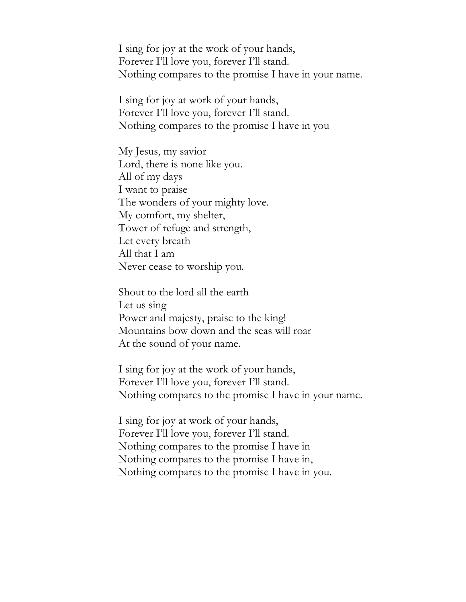I sing for joy at the work of your hands, Forever I'll love you, forever I'll stand. Nothing compares to the promise I have in your name.

I sing for joy at work of your hands, Forever I'll love you, forever I'll stand. Nothing compares to the promise I have in you

My Jesus, my savior Lord, there is none like you. All of my days I want to praise The wonders of your mighty love. My comfort, my shelter, Tower of refuge and strength, Let every breath All that I am Never cease to worship you.

Shout to the lord all the earth Let us sing Power and majesty, praise to the king! Mountains bow down and the seas will roar At the sound of your name.

I sing for joy at the work of your hands, Forever I'll love you, forever I'll stand. Nothing compares to the promise I have in your name.

I sing for joy at work of your hands, Forever I'll love you, forever I'll stand. Nothing compares to the promise I have in Nothing compares to the promise I have in, Nothing compares to the promise I have in you.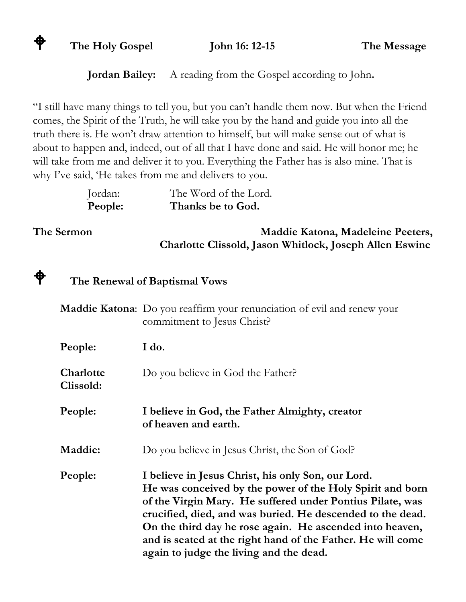**Jordan Bailey:** A reading from the Gospel according to John**.** 

"I still have many things to tell you, but you can't handle them now. But when the Friend comes, the Spirit of the Truth, he will take you by the hand and guide you into all the truth there is. He won't draw attention to himself, but will make sense out of what is about to happen and, indeed, out of all that I have done and said. He will honor me; he will take from me and deliver it to you. Everything the Father has is also mine. That is why I've said, 'He takes from me and delivers to you.

| Jordan: | The Word of the Lord. |
|---------|-----------------------|
| People: | Thanks be to God.     |

# **The Sermon Maddie Katona, Madeleine Peeters, C Charlotte Clissold, Jason Whitlock, Joseph Allen Eswine**

# **The Renewal of Baptismal Vows**

|                        | Maddie Katona: Do you reaffirm your renunciation of evil and renew your<br>commitment to Jesus Christ?                                                                                                                                                                                                                                                                                                           |
|------------------------|------------------------------------------------------------------------------------------------------------------------------------------------------------------------------------------------------------------------------------------------------------------------------------------------------------------------------------------------------------------------------------------------------------------|
| People:                | I do.                                                                                                                                                                                                                                                                                                                                                                                                            |
| Charlotte<br>Clissold: | Do you believe in God the Father?                                                                                                                                                                                                                                                                                                                                                                                |
| People:                | I believe in God, the Father Almighty, creator<br>of heaven and earth.                                                                                                                                                                                                                                                                                                                                           |
| Maddie:                | Do you believe in Jesus Christ, the Son of God?                                                                                                                                                                                                                                                                                                                                                                  |
| People:                | I believe in Jesus Christ, his only Son, our Lord.<br>He was conceived by the power of the Holy Spirit and born<br>of the Virgin Mary. He suffered under Pontius Pilate, was<br>crucified, died, and was buried. He descended to the dead.<br>On the third day he rose again. He ascended into heaven,<br>and is seated at the right hand of the Father. He will come<br>again to judge the living and the dead. |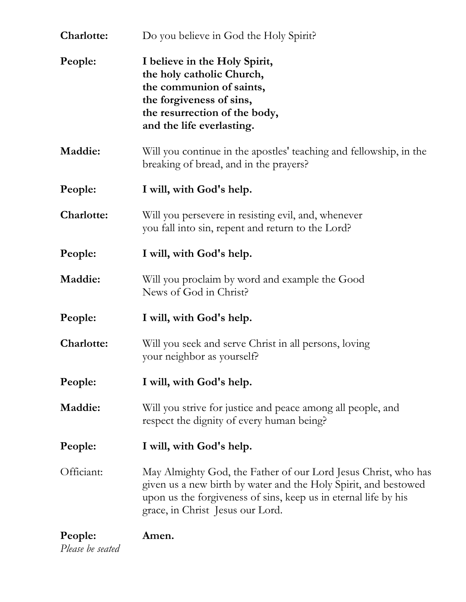| <b>Charlotte:</b> | Do you believe in God the Holy Spirit?                                                                                                                                                                                                   |
|-------------------|------------------------------------------------------------------------------------------------------------------------------------------------------------------------------------------------------------------------------------------|
| People:           | I believe in the Holy Spirit,<br>the holy catholic Church,<br>the communion of saints,<br>the forgiveness of sins,<br>the resurrection of the body,<br>and the life everlasting.                                                         |
| Maddie:           | Will you continue in the apostles' teaching and fellowship, in the<br>breaking of bread, and in the prayers?                                                                                                                             |
| People:           | I will, with God's help.                                                                                                                                                                                                                 |
| Charlotte:        | Will you persevere in resisting evil, and, whenever<br>you fall into sin, repent and return to the Lord?                                                                                                                                 |
| People:           | I will, with God's help.                                                                                                                                                                                                                 |
| Maddie:           | Will you proclaim by word and example the Good<br>News of God in Christ?                                                                                                                                                                 |
| People:           | I will, with God's help.                                                                                                                                                                                                                 |
| <b>Charlotte:</b> | Will you seek and serve Christ in all persons, loving<br>your neighbor as yourself?                                                                                                                                                      |
| People:           | I will, with God's help.                                                                                                                                                                                                                 |
| Maddie:           | Will you strive for justice and peace among all people, and<br>respect the dignity of every human being?                                                                                                                                 |
| People:           | I will, with God's help.                                                                                                                                                                                                                 |
| Officiant:        | May Almighty God, the Father of our Lord Jesus Christ, who has<br>given us a new birth by water and the Holy Spirit, and bestowed<br>upon us the forgiveness of sins, keep us in eternal life by his<br>grace, in Christ Jesus our Lord. |
| People:           | Amen.                                                                                                                                                                                                                                    |

*Please be seated*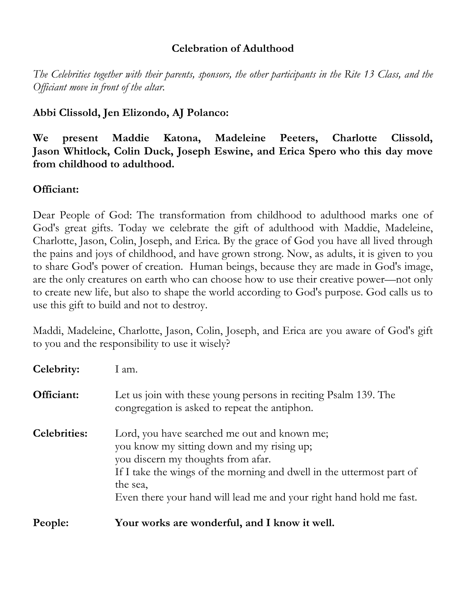### **Celebration of Adulthood**

*The Celebrities together with their parents, sponsors, the other participants in the Rite 13 Class, and the Officiant move in front of the altar.* 

**Abbi Clissold, Jen Elizondo, AJ Polanco:** 

**We present Maddie Katona, Madeleine Peeters, Charlotte Clissold, Jason Whitlock, Colin Duck, Joseph Eswine, and Erica Spero who this day move from childhood to adulthood.** 

#### **Officiant:**

Dear People of God: The transformation from childhood to adulthood marks one of God's great gifts. Today we celebrate the gift of adulthood with Maddie, Madeleine, Charlotte, Jason, Colin, Joseph, and Erica. By the grace of God you have all lived through the pains and joys of childhood, and have grown strong. Now, as adults, it is given to you to share God's power of creation. Human beings, because they are made in God's image, are the only creatures on earth who can choose how to use their creative power—not only to create new life, but also to shape the world according to God's purpose. God calls us to use this gift to build and not to destroy.

Maddi, Madeleine, Charlotte, Jason, Colin, Joseph, and Erica are you aware of God's gift to you and the responsibility to use it wisely?

| Celebrity:          | I am.                                                                                                                                                                                                                                                                                         |
|---------------------|-----------------------------------------------------------------------------------------------------------------------------------------------------------------------------------------------------------------------------------------------------------------------------------------------|
| Officiant:          | Let us join with these young persons in reciting Psalm 139. The<br>congregation is asked to repeat the antiphon.                                                                                                                                                                              |
| <b>Celebrities:</b> | Lord, you have searched me out and known me;<br>you know my sitting down and my rising up;<br>you discern my thoughts from a far.<br>If I take the wings of the morning and dwell in the uttermost part of<br>the sea,<br>Even there your hand will lead me and your right hand hold me fast. |
| People:             | Your works are wonderful, and I know it well.                                                                                                                                                                                                                                                 |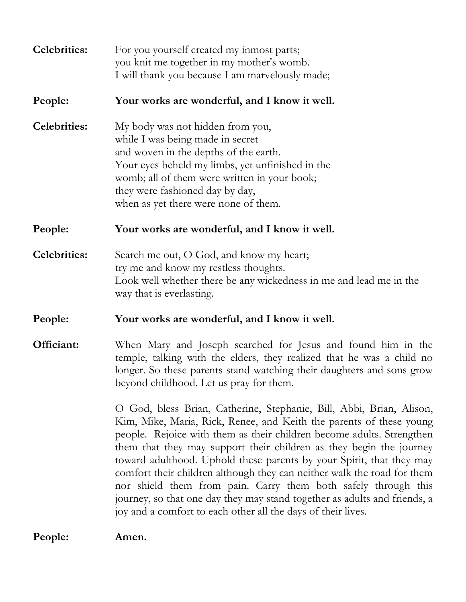| <b>Celebrities:</b> | For you yourself created my inmost parts;<br>you knit me together in my mother's womb.<br>I will thank you because I am marvelously made;                                                                                                                                                                                                                                                                                                                                                                                                                                                                                                                     |
|---------------------|---------------------------------------------------------------------------------------------------------------------------------------------------------------------------------------------------------------------------------------------------------------------------------------------------------------------------------------------------------------------------------------------------------------------------------------------------------------------------------------------------------------------------------------------------------------------------------------------------------------------------------------------------------------|
| People:             | Your works are wonderful, and I know it well.                                                                                                                                                                                                                                                                                                                                                                                                                                                                                                                                                                                                                 |
| <b>Celebrities:</b> | My body was not hidden from you,<br>while I was being made in secret<br>and woven in the depths of the earth.<br>Your eyes beheld my limbs, yet unfinished in the<br>womb; all of them were written in your book;<br>they were fashioned day by day,<br>when as yet there were none of them.                                                                                                                                                                                                                                                                                                                                                                  |
| People:             | Your works are wonderful, and I know it well.                                                                                                                                                                                                                                                                                                                                                                                                                                                                                                                                                                                                                 |
| <b>Celebrities:</b> | Search me out, O God, and know my heart;<br>try me and know my restless thoughts.<br>Look well whether there be any wickedness in me and lead me in the<br>way that is everlasting.                                                                                                                                                                                                                                                                                                                                                                                                                                                                           |
| People:             | Your works are wonderful, and I know it well.                                                                                                                                                                                                                                                                                                                                                                                                                                                                                                                                                                                                                 |
| Officiant:          | When Mary and Joseph searched for Jesus and found him in the<br>temple, talking with the elders, they realized that he was a child no<br>longer. So these parents stand watching their daughters and sons grow<br>beyond childhood. Let us pray for them.                                                                                                                                                                                                                                                                                                                                                                                                     |
|                     | O God, bless Brian, Catherine, Stephanie, Bill, Abbi, Brian, Alison,<br>Kim, Mike, Maria, Rick, Renee, and Keith the parents of these young<br>people. Rejoice with them as their children become adults. Strengthen<br>them that they may support their children as they begin the journey<br>toward adulthood. Uphold these parents by your Spirit, that they may<br>comfort their children although they can neither walk the road for them<br>nor shield them from pain. Carry them both safely through this<br>journey, so that one day they may stand together as adults and friends, a<br>joy and a comfort to each other all the days of their lives. |
| People:             | Amen.                                                                                                                                                                                                                                                                                                                                                                                                                                                                                                                                                                                                                                                         |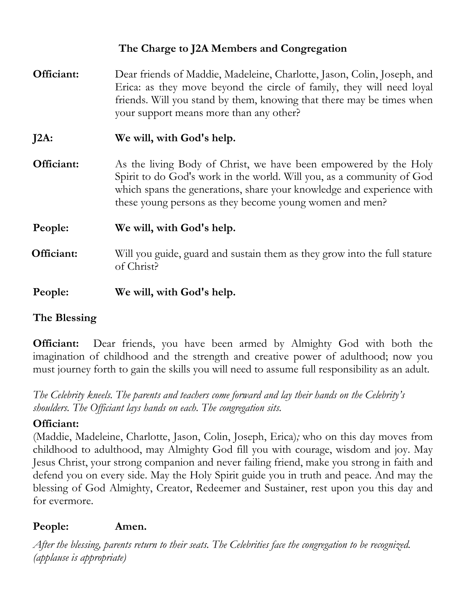# **The Charge to J2A Members and Congregation**

**Officiant:** Dear friends of Maddie, Madeleine, Charlotte, Jason, Colin, Joseph, and Erica: as they move beyond the circle of family, they will need loyal friends. Will you stand by them, knowing that there may be times when your support means more than any other?

# **J2A: We will, with God's help.**

**Officiant:** As the living Body of Christ, we have been empowered by the Holy Spirit to do God's work in the world. Will you, as a community of God which spans the generations, share your knowledge and experience with these young persons as they become young women and men?

**People: We will, with God's help.** 

**Officiant:** Will you guide, guard and sustain them as they grow into the full stature of Christ?

**People: We will, with God's help.** 

# **The Blessing**

**Officiant:** Dear friends, you have been armed by Almighty God with both the imagination of childhood and the strength and creative power of adulthood; now you must journey forth to gain the skills you will need to assume full responsibility as an adult.

*The Celebrity kneels. The parents and teachers come forward and lay their hands on the Celebrity's shoulders. The Officiant lays hands on each. The congregation sits.* 

# **Officiant:**

(Maddie, Madeleine, Charlotte, Jason, Colin, Joseph, Erica)*;* who on this day moves from childhood to adulthood, may Almighty God fill you with courage, wisdom and joy. May Jesus Christ, your strong companion and never failing friend, make you strong in faith and defend you on every side. May the Holy Spirit guide you in truth and peace. And may the blessing of God Almighty, Creator, Redeemer and Sustainer, rest upon you this day and for evermore.

# **People: Amen.**

*After the blessing, parents return to their seats. The Celebrities face the congregation to be recognized. (applause is appropriate)*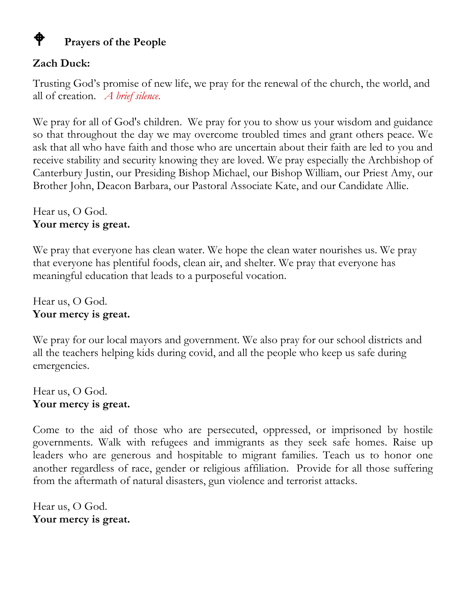

# **Zach Duck:**

Trusting God's promise of new life, we pray for the renewal of the church, the world, and all of creation. *A brief silence.* 

We pray for all of God's children. We pray for you to show us your wisdom and guidance so that throughout the day we may overcome troubled times and grant others peace. We ask that all who have faith and those who are uncertain about their faith are led to you and receive stability and security knowing they are loved. We pray especially the Archbishop of Canterbury Justin, our Presiding Bishop Michael, our Bishop William, our Priest Amy, our Brother John, Deacon Barbara, our Pastoral Associate Kate, and our Candidate Allie.

## Hear us, O God. **Your mercy is great.**

We pray that everyone has clean water. We hope the clean water nourishes us. We pray that everyone has plentiful foods, clean air, and shelter. We pray that everyone has meaningful education that leads to a purposeful vocation.

# Hear us, O God. **Your mercy is great.**

We pray for our local mayors and government. We also pray for our school districts and all the teachers helping kids during covid, and all the people who keep us safe during emergencies.

Hear us, O God. **Your mercy is great.** 

Come to the aid of those who are persecuted, oppressed, or imprisoned by hostile governments. Walk with refugees and immigrants as they seek safe homes. Raise up leaders who are generous and hospitable to migrant families. Teach us to honor one another regardless of race, gender or religious affiliation. Provide for all those suffering from the aftermath of natural disasters, gun violence and terrorist attacks.

Hear us, O God. **Your mercy is great.**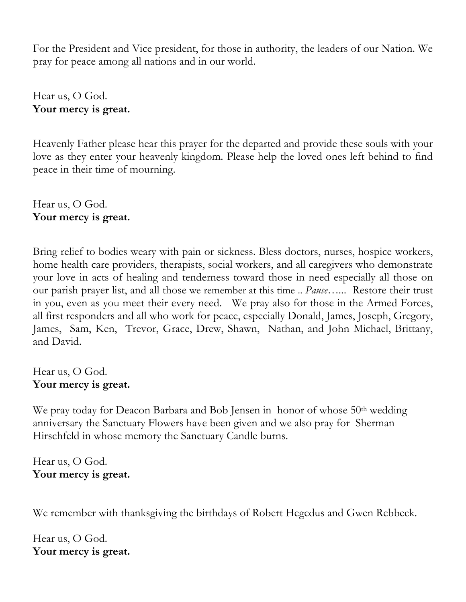For the President and Vice president, for those in authority, the leaders of our Nation. We pray for peace among all nations and in our world.

Hear us, O God. **Your mercy is great.** 

Heavenly Father please hear this prayer for the departed and provide these souls with your love as they enter your heavenly kingdom. Please help the loved ones left behind to find peace in their time of mourning.

Hear us, O God. **Your mercy is great.** 

Bring relief to bodies weary with pain or sickness. Bless doctors, nurses, hospice workers, home health care providers, therapists, social workers, and all caregivers who demonstrate your love in acts of healing and tenderness toward those in need especially all those on our parish prayer list, and all those we remember at this time .. *Pause…..*. Restore their trust in you, even as you meet their every need. We pray also for those in the Armed Forces, all first responders and all who work for peace, especially Donald, James, Joseph, Gregory, James, Sam, Ken, Trevor, Grace, Drew, Shawn, Nathan, and John Michael, Brittany, and David.

Hear us, O God. **Your mercy is great.** 

We pray today for Deacon Barbara and Bob Jensen in honor of whose 50<sup>th</sup> wedding anniversary the Sanctuary Flowers have been given and we also pray for Sherman Hirschfeld in whose memory the Sanctuary Candle burns.

Hear us, O God. **Your mercy is great.** 

We remember with thanksgiving the birthdays of Robert Hegedus and Gwen Rebbeck.

Hear us, O God. **Your mercy is great.**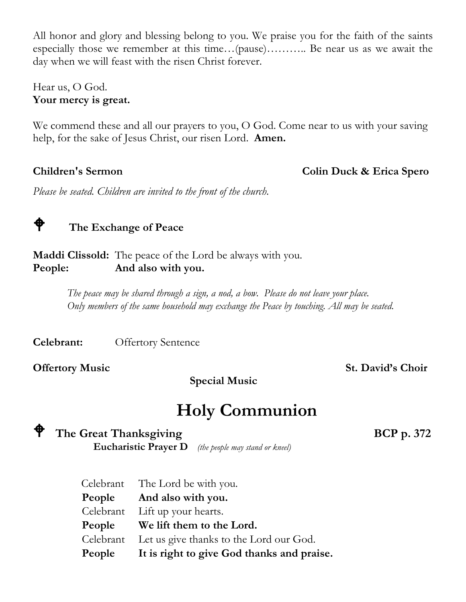All honor and glory and blessing belong to you. We praise you for the faith of the saints especially those we remember at this time…(pause)……….. Be near us as we await the day when we will feast with the risen Christ forever.

Hear us, O God. **Your mercy is great.** 

We commend these and all our prayers to you, O God. Come near to us with your saving help, for the sake of Jesus Christ, our risen Lord. **Amen.**

### **Children's Sermon Colin Duck & Erica Spero**

*Please be seated. Children are invited to the front of the church.* 

**The Exchange of Peace** 

**Maddi Clissold:** The peace of the Lord be always with you. **People: And also with you.** 

> *The peace may be shared through a sign, a nod, a bow. Please do not leave your place. Only members of the same household may exchange the Peace by touching. All may be seated.*

**Celebrant:** Offertory Sentence

**Special Music** 

#### **Offertory Music St. David's Choir**

# **Holy Communion**

### **The Great Thanksgiving BCP p. 372**

**Eucharistic Prayer D** *(the people may stand or kneel)* 

|                                                   | Celebrant The Lord be with you.         |
|---------------------------------------------------|-----------------------------------------|
|                                                   | People And also with you.               |
|                                                   | Celebrant Lift up your hearts.          |
|                                                   | People We lift them to the Lord.        |
| Celebrant                                         | Let us give thanks to the Lord our God. |
| People It is right to give God thanks and praise. |                                         |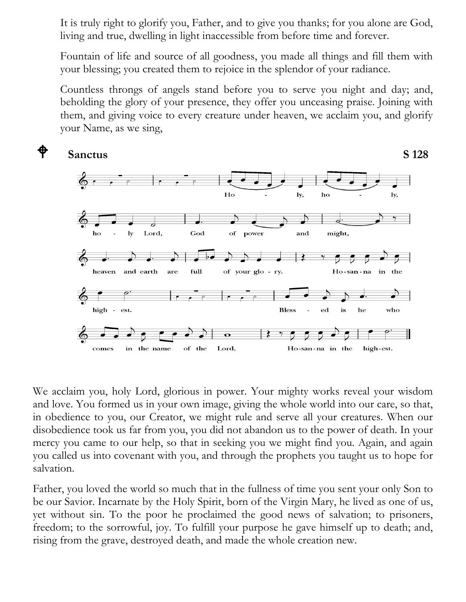It is truly right to glorify you, Father, and to give you thanks; for you alone are God, living and true, dwelling in light inaccessible from before time and forever.

Fountain of life and source of all goodness, you made all things and fill them with your blessing; you created them to rejoice in the splendor of your radiance.

Countless throngs of angels stand before you to serve you night and day; and, beholding the glory of your presence, they offer you unceasing praise. Joining with them, and giving voice to every creature under heaven, we acclaim you, and glorify your Name, as we sing,



We acclaim you, holy Lord, glorious in power. Your mighty works reveal your wisdom and love. You formed us in your own image, giving the whole world into our care, so that, in obedience to you, our Creator, we might rule and serve all your creatures. When our disobedience took us far from you, you did not abandon us to the power of death. In your mercy you came to our help, so that in seeking you we might find you. Again, and again you called us into covenant with you, and through the prophets you taught us to hope for salvation.

Father, you loved the world so much that in the fullness of time you sent your only Son to be our Savior. Incarnate by the Holy Spirit, born of the Virgin Mary, he lived as one of us, yet without sin. To the poor he proclaimed the good news of salvation; to prisoners, freedom; to the sorrowful, joy. To fulfill your purpose he gave himself up to death; and, rising from the grave, destroyed death, and made the whole creation new.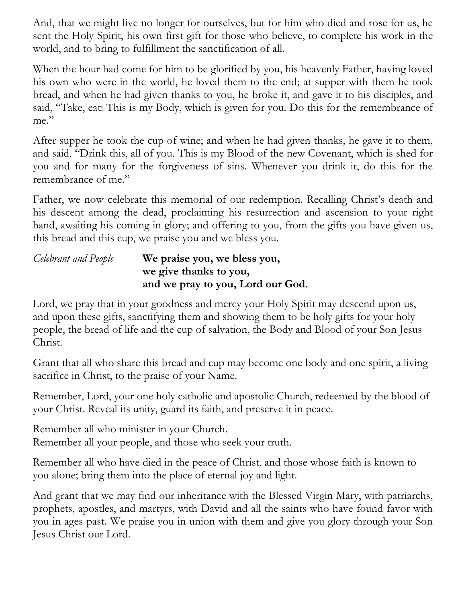And, that we might live no longer for ourselves, but for him who died and rose for us, he sent the Holy Spirit, his own first gift for those who believe, to complete his work in the world, and to bring to fulfillment the sanctification of all.

When the hour had come for him to be glorified by you, his heavenly Father, having loved his own who were in the world, he loved them to the end; at supper with them he took bread, and when he had given thanks to you, he broke it, and gave it to his disciples, and said, "Take, eat: This is my Body, which is given for you. Do this for the remembrance of me."

After supper he took the cup of wine; and when he had given thanks, he gave it to them, and said, "Drink this, all of you. This is my Blood of the new Covenant, which is shed for you and for many for the forgiveness of sins. Whenever you drink it, do this for the remembrance of me."

Father, we now celebrate this memorial of our redemption. Recalling Christ's death and his descent among the dead, proclaiming his resurrection and ascension to your right hand, awaiting his coming in glory; and offering to you, from the gifts you have given us, this bread and this cup, we praise you and we bless you.

| Celebrant and People | We praise you, we bless you,      |
|----------------------|-----------------------------------|
|                      | we give thanks to you,            |
|                      | and we pray to you, Lord our God. |

Lord, we pray that in your goodness and mercy your Holy Spirit may descend upon us, and upon these gifts, sanctifying them and showing them to be holy gifts for your holy people, the bread of life and the cup of salvation, the Body and Blood of your Son Jesus Christ.

Grant that all who share this bread and cup may become one body and one spirit, a living sacrifice in Christ, to the praise of your Name.

Remember, Lord, your one holy catholic and apostolic Church, redeemed by the blood of your Christ. Reveal its unity, guard its faith, and preserve it in peace.

Remember all who minister in your Church. Remember all your people, and those who seek your truth.

Remember all who have died in the peace of Christ, and those whose faith is known to you alone; bring them into the place of eternal joy and light.

And grant that we may find our inheritance with the Blessed Virgin Mary, with patriarchs, prophets, apostles, and martyrs, with David and all the saints who have found favor with you in ages past. We praise you in union with them and give you glory through your Son Jesus Christ our Lord.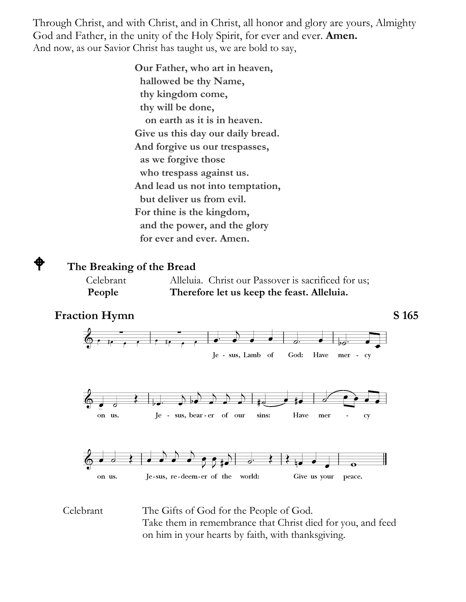Through Christ, and with Christ, and in Christ, all honor and glory are yours, Almighty God and Father, in the unity of the Holy Spirit, for ever and ever. **Amen.**  And now, as our Savior Christ has taught us, we are bold to say,

> **Our Father, who art in heaven, hallowed be thy Name, thy kingdom come, thy will be done, on earth as it is in heaven. Give us this day our daily bread. And forgive us our trespasses, as we forgive those who trespass against us. And lead us not into temptation, but deliver us from evil. For thine is the kingdom, and the power, and the glory for ever and ever. Amen.**







 Celebrant The Gifts of God for the People of God. Take them in remembrance that Christ died for you, and feed on him in your hearts by faith, with thanksgiving.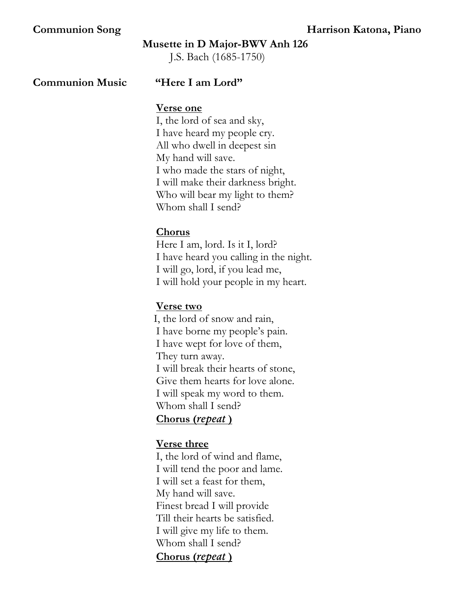#### **Communion Song The Communion Song Communion Song The Communion Song The Communion Song The Communion Song The Communion Song The Communion Song The Communion Song The Communion Song The Communion Song The Communion Song T**

#### **Musette in D Major-BWV Anh 126**

J.S. Bach (1685-1750)

#### **Communion Music "Here I am Lord"**

#### **Verse one**

I, the lord of sea and sky, I have heard my people cry. All who dwell in deepest sin My hand will save. I who made the stars of night, I will make their darkness bright. Who will bear my light to them? Whom shall I send?

#### **Chorus**

Here I am, lord. Is it I, lord? I have heard you calling in the night. I will go, lord, if you lead me, I will hold your people in my heart.

### **Verse two**

 I, the lord of snow and rain, I have borne my people's pain. I have wept for love of them, They turn away. I will break their hearts of stone, Give them hearts for love alone. I will speak my word to them. Whom shall I send?

### **Chorus (***repeat* **)**

### **Verse three**

I, the lord of wind and flame, I will tend the poor and lame. I will set a feast for them, My hand will save. Finest bread I will provide Till their hearts be satisfied. I will give my life to them. Whom shall I send? **Chorus (***repeat* **)**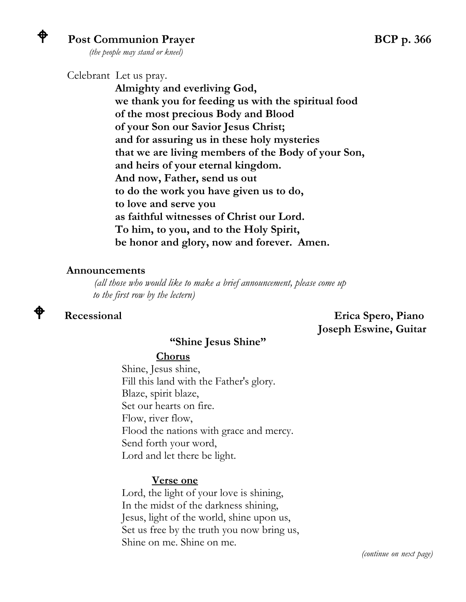# **P** Post Communion Prayer BCP p. 366

*( (the people may stand or kneel)* 

CelebrantLet us pray.

**Almighty and everliving God, we thank you for feeding us with the spiritual food of the most precious Body and Blood of your Son our Savior Jesus Christ; and for assuring us in these holy mysteries that we are living members of the Body of your Son, and heirs of your eternal kingdom. And now, Father, send us out to do the work you have given us to do, to love and serve you as faithful witnesses of Christ our Lord. To him, to you, and to the Holy Spirit, be honor and glory, now and forever. Amen.** 

#### **Announcements**

 *(all those who would like to make a brief announcement, please come up to the first row by the lectern)* 

**P** Recessional **Exercise Exercise Exercise Exercise Exercise Exercise Exercise Exercise Exercise A Joseph Eswine, Guitar** 

#### **"Shine Jesus Shine"**

#### **Chorus**

Shine, Jesus shine, Fill this land with the Father's glory. Blaze, spirit blaze, Set our hearts on fire. Flow, river flow, Flood the nations with grace and mercy. Send forth your word, Lord and let there be light.

#### **Verse one**

Lord, the light of your love is shining, In the midst of the darkness shining, Jesus, light of the world, shine upon us, Set us free by the truth you now bring us, Shine on me. Shine on me.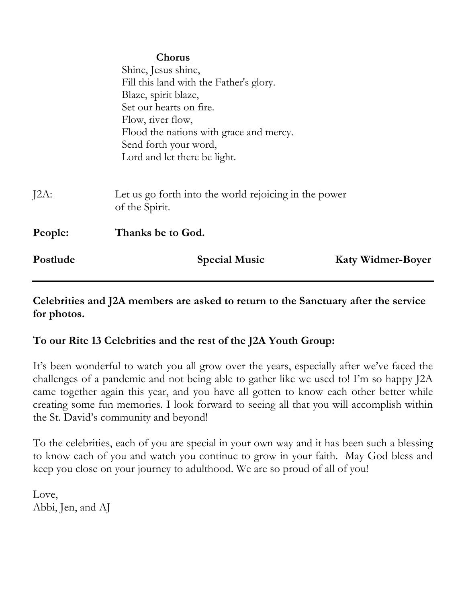#### **Chorus**

**Celebrities and J2A members are asked to return to the Sanctuary after the service for photos.** 

# **To our Rite 13 Celebrities and the rest of the J2A Youth Group:**

It's been wonderful to watch you all grow over the years, especially after we've faced the challenges of a pandemic and not being able to gather like we used to! I'm so happy J2A came together again this year, and you have all gotten to know each other better while creating some fun memories. I look forward to seeing all that you will accomplish within the St. David's community and beyond!

To the celebrities, each of you are special in your own way and it has been such a blessing to know each of you and watch you continue to grow in your faith. May God bless and keep you close on your journey to adulthood. We are so proud of all of you!

Love, Abbi, Jen, and AJ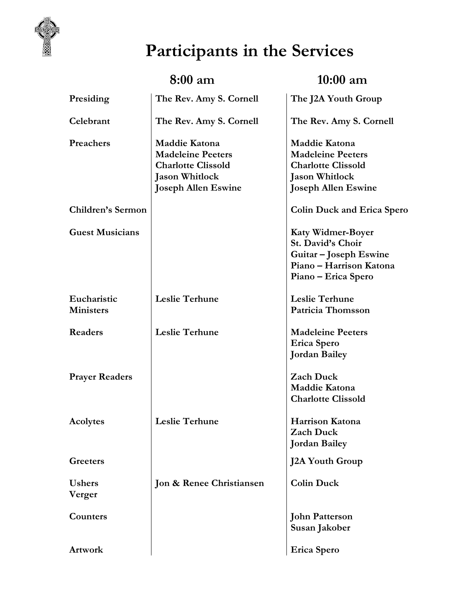

# **Participants in the Services**

|                                 | $8:00 \text{ am}$                                                                                                             | $10:00$ am                                                                                                                    |
|---------------------------------|-------------------------------------------------------------------------------------------------------------------------------|-------------------------------------------------------------------------------------------------------------------------------|
| Presiding                       | The Rev. Amy S. Cornell                                                                                                       | The J2A Youth Group                                                                                                           |
| Celebrant                       | The Rev. Amy S. Cornell                                                                                                       | The Rev. Amy S. Cornell                                                                                                       |
| <b>Preachers</b>                | Maddie Katona<br><b>Madeleine Peeters</b><br><b>Charlotte Clissold</b><br><b>Jason Whitlock</b><br><b>Joseph Allen Eswine</b> | Maddie Katona<br><b>Madeleine Peeters</b><br><b>Charlotte Clissold</b><br><b>Jason Whitlock</b><br><b>Joseph Allen Eswine</b> |
| <b>Children's Sermon</b>        |                                                                                                                               | <b>Colin Duck and Erica Spero</b>                                                                                             |
| <b>Guest Musicians</b>          |                                                                                                                               | <b>Katy Widmer-Boyer</b><br>St. David's Choir<br>Guitar – Joseph Eswine<br>Piano - Harrison Katona<br>Piano - Erica Spero     |
| Eucharistic<br><b>Ministers</b> | <b>Leslie Terhune</b>                                                                                                         | <b>Leslie Terhune</b><br><b>Patricia Thomsson</b>                                                                             |
| <b>Readers</b>                  | <b>Leslie Terhune</b>                                                                                                         | <b>Madeleine Peeters</b><br>Erica Spero<br><b>Jordan Bailey</b>                                                               |
| <b>Prayer Readers</b>           |                                                                                                                               | <b>Zach Duck</b><br>Maddie Katona<br><b>Charlotte Clissold</b>                                                                |
| Acolytes                        | <b>Leslie Terhune</b>                                                                                                         | <b>Harrison Katona</b><br><b>Zach Duck</b><br><b>Jordan Bailey</b>                                                            |
| Greeters                        |                                                                                                                               | <b>J2A Youth Group</b>                                                                                                        |
| <b>Ushers</b><br>Verger         | Jon & Renee Christiansen                                                                                                      | <b>Colin Duck</b>                                                                                                             |
| Counters                        |                                                                                                                               | <b>John Patterson</b><br>Susan Jakober                                                                                        |
| <b>Artwork</b>                  |                                                                                                                               | Erica Spero                                                                                                                   |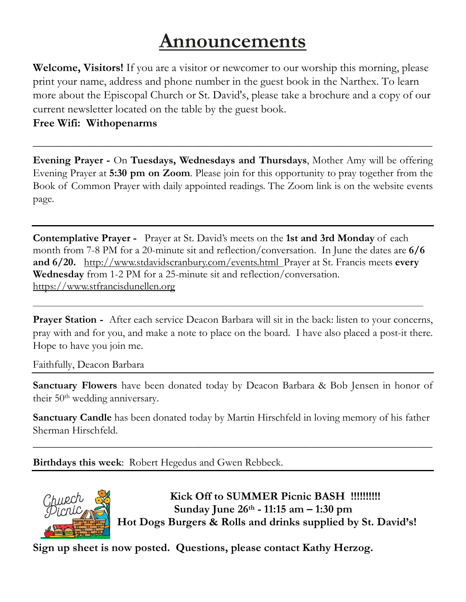# **Announcements**

**Welcome, Visitors!** If you are a visitor or newcomer to our worship this morning, please print your name, address and phone number in the guest book in the Narthex. To learn more about the Episcopal Church or St. David's, please take a brochure and a copy of our current newsletter located on the table by the guest book.

### **Free Wifi: Withopenarms**

**Evening Prayer -** On **Tuesdays, Wednesdays and Thursdays**, Mother Amy will be offering Evening Prayer at **5:30 pm on Zoom**. Please join for this opportunity to pray together from the Book of Common Prayer with daily appointed readings. The Zoom link is on the website events page.

\_\_\_\_\_\_\_\_\_\_\_\_\_\_\_\_\_\_\_\_\_\_\_\_\_\_\_\_\_\_\_\_\_\_\_\_\_\_\_\_\_\_\_\_\_\_\_\_\_\_\_\_\_\_\_\_\_\_\_\_\_\_\_\_\_\_\_\_\_\_\_\_\_\_\_

**Contemplative Prayer -** Prayer at St. David's meets on the **1st and 3rd Monday** of each month from 7-8 PM for a 20-minute sit and reflection/conversation. In June the dates are **6/6 and 6/20.** http://www.stdavidscranbury.com/events.html Prayer at St. Francis meets **every Wednesday** from 1-2 PM for a 25-minute sit and reflection/conversation. https://www.stfrancisdunellen.org

 $\Box$ 

**Prayer Station -** After each service Deacon Barbara will sit in the back: listen to your concerns, pray with and for you, and make a note to place on the board. I have also placed a post-it there. Hope to have you join me.

Faithfully, Deacon Barbara

**Sanctuary Flowers** have been donated today by Deacon Barbara & Bob Jensen in honor of their  $50<sup>th</sup>$  wedding anniversary.

**Sanctuary Candle** has been donated today by Martin Hirschfeld in loving memory of his father Sherman Hirschfeld.

\_\_\_\_\_\_\_\_\_\_\_\_\_\_\_\_\_\_\_\_\_\_\_\_\_\_\_\_\_\_\_\_\_\_\_\_\_\_\_\_\_\_\_\_\_\_\_\_\_\_\_\_\_\_\_\_\_\_\_\_\_\_\_\_\_\_\_\_\_\_\_\_\_\_\_

**Birthdays this week**: Robert Hegedus and Gwen Rebbeck.



 **Kick Off to SUMMER Picnic BASH !!!!!!!!!! Sunday June 26th - 11:15 am – 1:30 pm Hot Dogs Burgers & Rolls and drinks supplied by St. David's!** 

**Sign up sheet is now posted. Questions, please contact Kathy Herzog.**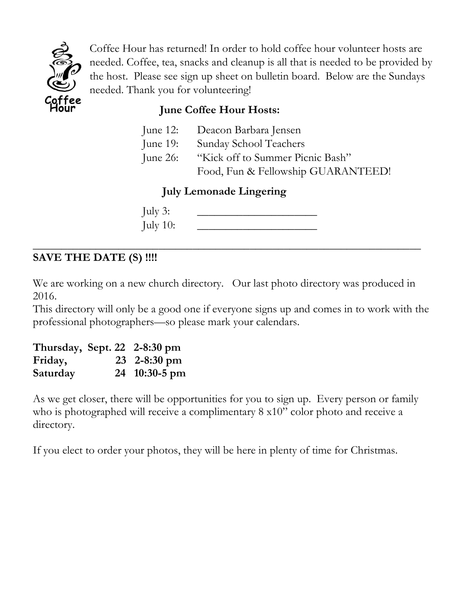

Coffee Hour has returned! In order to hold coffee hour volunteer hosts are needed. Coffee, tea, snacks and cleanup is all that is needed to be provided by the host. Please see sign up sheet on bulletin board. Below are the Sundays needed. Thank you for volunteering!

# **June Coffee Hour Hosts:**

|          | June 12: Deacon Barbara Jensen     |
|----------|------------------------------------|
|          | June 19: Sunday School Teachers    |
| June 26: | "Kick off to Summer Picnic Bash"   |
|          | Food, Fun & Fellowship GUARANTEED! |

# **July Lemonade Lingering**

July  $3$ : July 10:

### **\_\_\_\_\_\_\_\_\_\_\_\_\_\_\_\_\_\_\_\_\_\_\_\_\_\_\_\_\_\_\_\_\_\_\_\_\_\_\_\_\_\_\_\_\_\_\_\_\_\_\_\_\_\_\_\_\_\_\_\_\_\_\_\_\_\_\_\_ SAVE THE DATE (S) !!!!**

We are working on a new church directory. Our last photo directory was produced in 2016.

This directory will only be a good one if everyone signs up and comes in to work with the professional photographers—so please mark your calendars.

| Thursday, Sept. 22 2-8:30 pm |                |
|------------------------------|----------------|
| Friday,                      | $23$ 2-8:30 pm |
| Saturday                     | 24 10:30-5 pm  |

As we get closer, there will be opportunities for you to sign up. Every person or family who is photographed will receive a complimentary 8 x10" color photo and receive a directory.

If you elect to order your photos, they will be here in plenty of time for Christmas.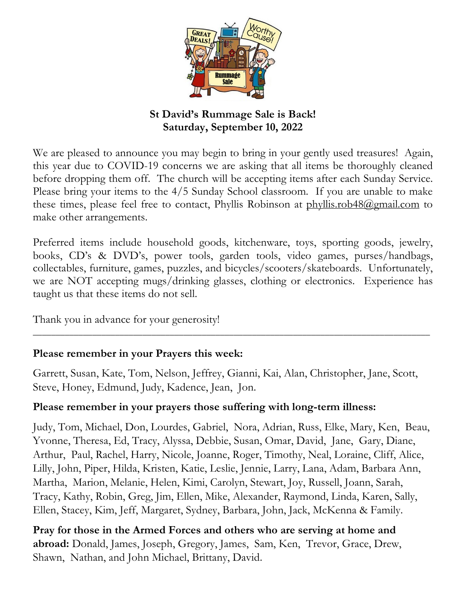

# **St David's Rummage Sale is Back! Saturday, September 10, 2022**

We are pleased to announce you may begin to bring in your gently used treasures! Again, this year due to COVID-19 concerns we are asking that all items be thoroughly cleaned before dropping them off. The church will be accepting items after each Sunday Service. Please bring your items to the 4/5 Sunday School classroom. If you are unable to make these times, please feel free to contact, Phyllis Robinson at  $phyllis.rob48@gmail.com$  to make other arrangements.

Preferred items include household goods, kitchenware, toys, sporting goods, jewelry, books, CD's & DVD's, power tools, garden tools, video games, purses/handbags, collectables, furniture, games, puzzles, and bicycles/scooters/skateboards. Unfortunately, we are NOT accepting mugs/drinking glasses, clothing or electronics. Experience has taught us that these items do not sell.

Thank you in advance for your generosity!

# **Please remember in your Prayers this week:**

Garrett, Susan, Kate, Tom, Nelson, Jeffrey, Gianni, Kai, Alan, Christopher, Jane, Scott, Steve, Honey, Edmund, Judy, Kadence, Jean, Jon.

\_\_\_\_\_\_\_\_\_\_\_\_\_\_\_\_\_\_\_\_\_\_\_\_\_\_\_\_\_\_\_\_\_\_\_\_\_\_\_\_\_\_\_\_\_\_\_\_\_\_\_\_\_\_\_\_\_\_\_\_\_\_\_\_\_\_\_\_\_\_\_\_\_\_\_\_\_\_\_\_\_\_\_\_\_\_\_

### **Please remember in your prayers those suffering with long-term illness:**

Judy, Tom, Michael, Don, Lourdes, Gabriel, Nora, Adrian, Russ, Elke, Mary, Ken, Beau, Yvonne, Theresa, Ed, Tracy, Alyssa, Debbie, Susan, Omar, David, Jane, Gary, Diane, Arthur, Paul, Rachel, Harry, Nicole, Joanne, Roger, Timothy, Neal, Loraine, Cliff, Alice, Lilly, John, Piper, Hilda, Kristen, Katie, Leslie, Jennie, Larry, Lana, Adam, Barbara Ann, Martha, Marion, Melanie, Helen, Kimi, Carolyn, Stewart, Joy, Russell, Joann, Sarah, Tracy, Kathy, Robin, Greg, Jim, Ellen, Mike, Alexander, Raymond, Linda, Karen, Sally, Ellen, Stacey, Kim, Jeff, Margaret, Sydney, Barbara, John, Jack, McKenna & Family.

**Pray for those in the Armed Forces and others who are serving at home and abroad:** Donald, James, Joseph, Gregory, James, Sam, Ken, Trevor, Grace, Drew, Shawn, Nathan, and John Michael, Brittany, David.